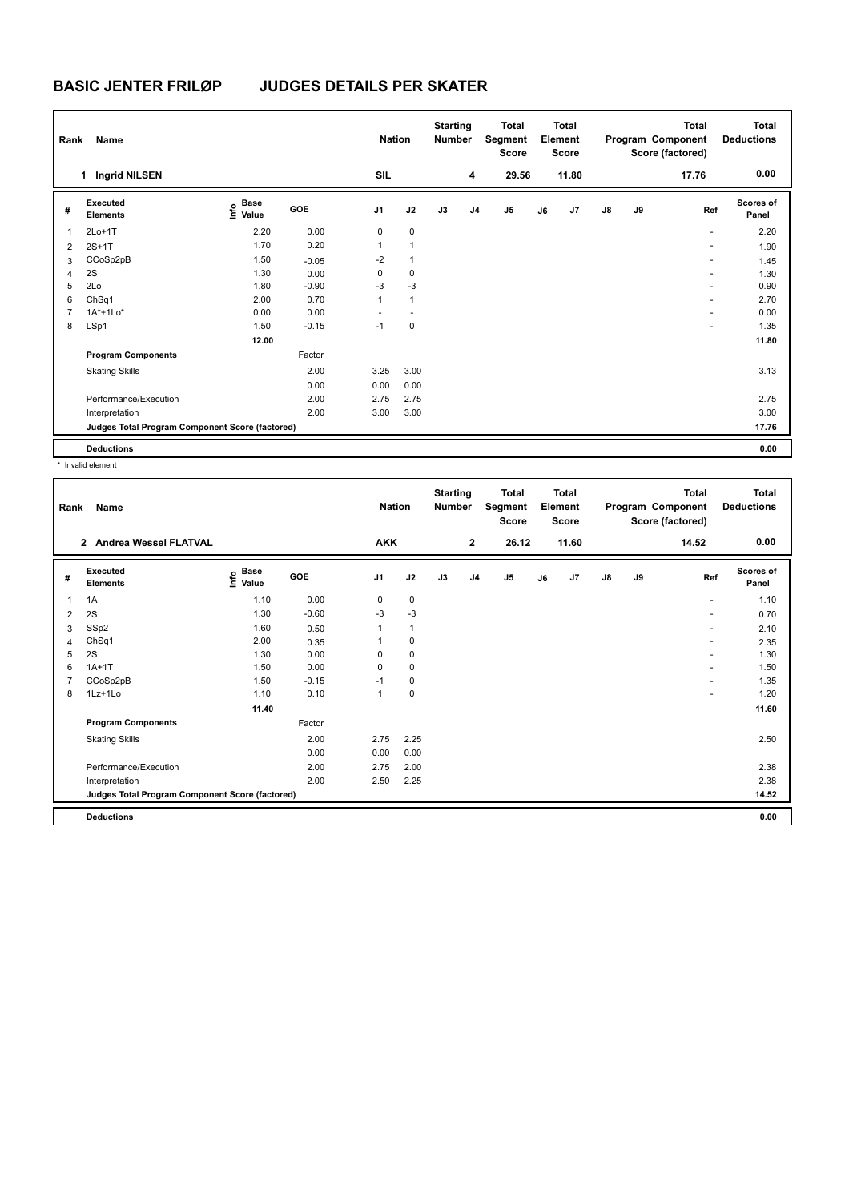# **BASIC JENTER FRILØP JUDGES DETAILS PER SKATER**

| Rank           | Name                                            |                                  |         | <b>Nation</b>  |              | <b>Starting</b><br><b>Number</b> |                | <b>Total</b><br>Segment<br><b>Score</b> |    | <b>Total</b><br>Element<br><b>Score</b> |               |    | <b>Total</b><br>Program Component<br>Score (factored) | Total<br><b>Deductions</b> |
|----------------|-------------------------------------------------|----------------------------------|---------|----------------|--------------|----------------------------------|----------------|-----------------------------------------|----|-----------------------------------------|---------------|----|-------------------------------------------------------|----------------------------|
|                | <b>Ingrid NILSEN</b><br>1.                      |                                  |         | <b>SIL</b>     |              |                                  | 4              | 29.56                                   |    | 11.80                                   |               |    | 17.76                                                 | 0.00                       |
| #              | Executed<br><b>Elements</b>                     | <b>Base</b><br>o Base<br>⊆ Value | GOE     | J <sub>1</sub> | J2           | J3                               | J <sub>4</sub> | J <sub>5</sub>                          | J6 | J7                                      | $\mathsf{J}8$ | J9 | Ref                                                   | <b>Scores of</b><br>Panel  |
| $\overline{1}$ | $2Lo+1T$                                        | 2.20                             | 0.00    | 0              | $\mathbf 0$  |                                  |                |                                         |    |                                         |               |    | $\overline{\phantom{a}}$                              | 2.20                       |
| 2              | $2S+1T$                                         | 1.70                             | 0.20    | 1              | $\mathbf{1}$ |                                  |                |                                         |    |                                         |               |    | ٠                                                     | 1.90                       |
| 3              | CCoSp2pB                                        | 1.50                             | $-0.05$ | $-2$           | $\mathbf{1}$ |                                  |                |                                         |    |                                         |               |    | ٠                                                     | 1.45                       |
| 4              | 2S                                              | 1.30                             | 0.00    | 0              | 0            |                                  |                |                                         |    |                                         |               |    | ٠                                                     | 1.30                       |
| 5              | 2Lo                                             | 1.80                             | $-0.90$ | $-3$           | $-3$         |                                  |                |                                         |    |                                         |               |    | ٠                                                     | 0.90                       |
| 6              | ChSq1                                           | 2.00                             | 0.70    | 1              | $\mathbf{1}$ |                                  |                |                                         |    |                                         |               |    | ٠                                                     | 2.70                       |
| $\overline{7}$ | $1A^*+1Lo^*$                                    | 0.00                             | 0.00    |                |              |                                  |                |                                         |    |                                         |               |    | ٠                                                     | 0.00                       |
| 8              | LSp1                                            | 1.50                             | $-0.15$ | $-1$           | $\mathbf 0$  |                                  |                |                                         |    |                                         |               |    | ٠                                                     | 1.35                       |
|                |                                                 | 12.00                            |         |                |              |                                  |                |                                         |    |                                         |               |    |                                                       | 11.80                      |
|                | <b>Program Components</b>                       |                                  | Factor  |                |              |                                  |                |                                         |    |                                         |               |    |                                                       |                            |
|                | <b>Skating Skills</b>                           |                                  | 2.00    | 3.25           | 3.00         |                                  |                |                                         |    |                                         |               |    |                                                       | 3.13                       |
|                |                                                 |                                  | 0.00    | 0.00           | 0.00         |                                  |                |                                         |    |                                         |               |    |                                                       |                            |
|                | Performance/Execution                           |                                  | 2.00    | 2.75           | 2.75         |                                  |                |                                         |    |                                         |               |    |                                                       | 2.75                       |
|                | Interpretation                                  |                                  | 2.00    | 3.00           | 3.00         |                                  |                |                                         |    |                                         |               |    |                                                       | 3.00                       |
|                | Judges Total Program Component Score (factored) |                                  |         |                |              |                                  |                |                                         |    |                                         |               |    |                                                       | 17.76                      |
|                | <b>Deductions</b>                               |                                  |         |                |              |                                  |                |                                         |    |                                         |               |    |                                                       | 0.00                       |

\* Invalid element

| Rank | Name                                            |                           |            | <b>Nation</b>  |              | <b>Starting</b><br><b>Number</b> |                | <b>Total</b><br>Segment<br>Score |    | <b>Total</b><br>Element<br><b>Score</b> |               |    | <b>Total</b><br>Program Component<br>Score (factored) | <b>Total</b><br><b>Deductions</b> |
|------|-------------------------------------------------|---------------------------|------------|----------------|--------------|----------------------------------|----------------|----------------------------------|----|-----------------------------------------|---------------|----|-------------------------------------------------------|-----------------------------------|
|      | 2 Andrea Wessel FLATVAL                         |                           |            | <b>AKK</b>     |              |                                  | $\overline{2}$ | 26.12                            |    | 11.60                                   |               |    | 14.52                                                 | 0.00                              |
| #    | <b>Executed</b><br><b>Elements</b>              | Base<br>e Base<br>⊆ Value | <b>GOE</b> | J <sub>1</sub> | J2           | J3                               | J <sub>4</sub> | J5                               | J6 | J7                                      | $\mathsf{J}8$ | J9 | Ref                                                   | <b>Scores of</b><br>Panel         |
| 1    | 1A                                              | 1.10                      | 0.00       | 0              | $\mathbf 0$  |                                  |                |                                  |    |                                         |               |    | $\overline{\phantom{a}}$                              | 1.10                              |
| 2    | 2S                                              | 1.30                      | $-0.60$    | $-3$           | $-3$         |                                  |                |                                  |    |                                         |               |    | $\overline{\phantom{a}}$                              | 0.70                              |
| 3    | SSp2                                            | 1.60                      | 0.50       |                | $\mathbf{1}$ |                                  |                |                                  |    |                                         |               |    | $\overline{a}$                                        | 2.10                              |
| 4    | ChSq1                                           | 2.00                      | 0.35       |                | 0            |                                  |                |                                  |    |                                         |               |    | $\overline{a}$                                        | 2.35                              |
| 5    | 2S                                              | 1.30                      | 0.00       | $\Omega$       | $\pmb{0}$    |                                  |                |                                  |    |                                         |               |    | ÷                                                     | 1.30                              |
| 6    | $1A+1T$                                         | 1.50                      | 0.00       | $\Omega$       | 0            |                                  |                |                                  |    |                                         |               |    | $\overline{a}$                                        | 1.50                              |
| 7    | CCoSp2pB                                        | 1.50                      | $-0.15$    | $-1$           | 0            |                                  |                |                                  |    |                                         |               |    | $\overline{a}$                                        | 1.35                              |
| 8    | $1Lz+1Lo$                                       | 1.10                      | 0.10       | 1              | $\mathbf 0$  |                                  |                |                                  |    |                                         |               |    |                                                       | 1.20                              |
|      |                                                 | 11.40                     |            |                |              |                                  |                |                                  |    |                                         |               |    |                                                       | 11.60                             |
|      | <b>Program Components</b>                       |                           | Factor     |                |              |                                  |                |                                  |    |                                         |               |    |                                                       |                                   |
|      | <b>Skating Skills</b>                           |                           | 2.00       | 2.75           | 2.25         |                                  |                |                                  |    |                                         |               |    |                                                       | 2.50                              |
|      |                                                 |                           | 0.00       | 0.00           | 0.00         |                                  |                |                                  |    |                                         |               |    |                                                       |                                   |
|      | Performance/Execution                           |                           | 2.00       | 2.75           | 2.00         |                                  |                |                                  |    |                                         |               |    |                                                       | 2.38                              |
|      | Interpretation                                  |                           | 2.00       | 2.50           | 2.25         |                                  |                |                                  |    |                                         |               |    |                                                       | 2.38                              |
|      | Judges Total Program Component Score (factored) |                           |            |                |              |                                  |                |                                  |    |                                         |               |    |                                                       | 14.52                             |
|      | <b>Deductions</b>                               |                           |            |                |              |                                  |                |                                  |    |                                         |               |    |                                                       | 0.00                              |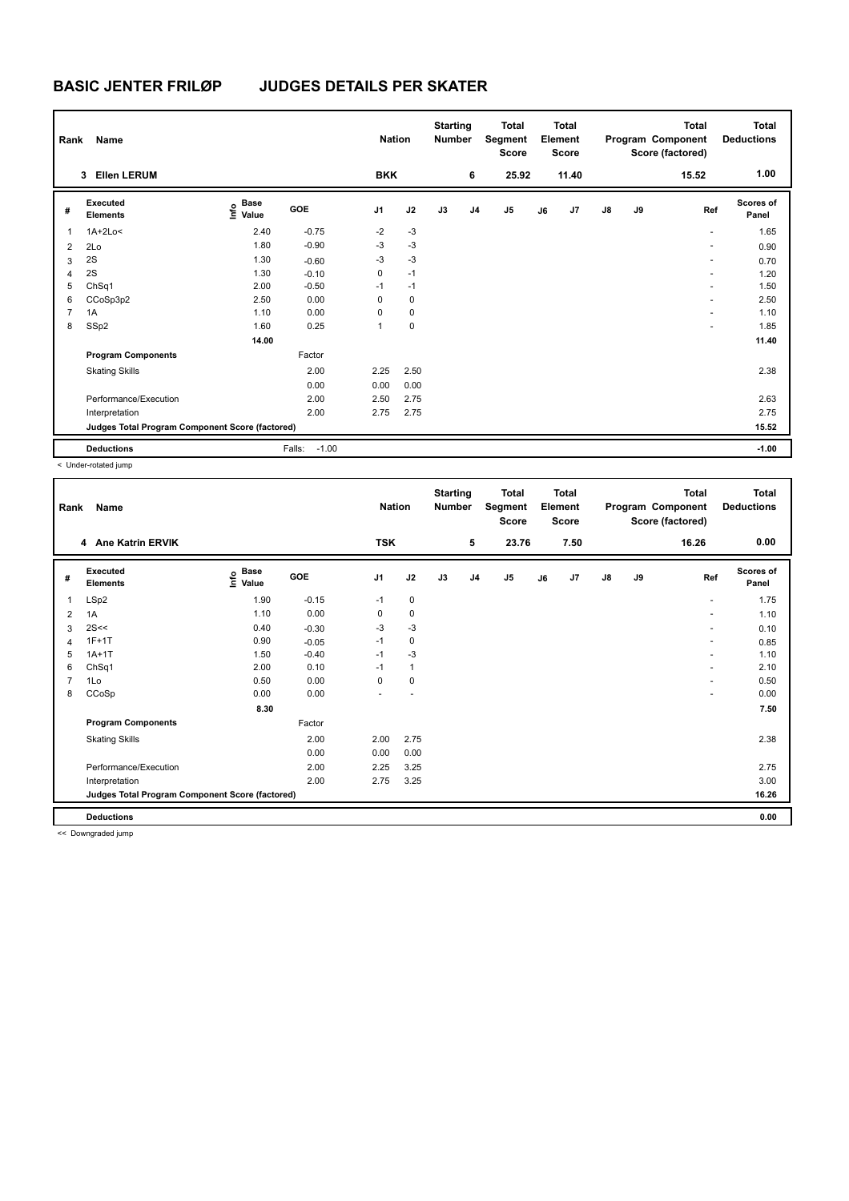# **BASIC JENTER FRILØP JUDGES DETAILS PER SKATER**

| Rank           | Name                                            |                                  |                   | <b>Nation</b>  |             | <b>Starting</b><br><b>Number</b> |                | <b>Total</b><br>Segment<br>Score |    | <b>Total</b><br>Element<br><b>Score</b> |               |    | <b>Total</b><br>Program Component<br>Score (factored) | <b>Total</b><br><b>Deductions</b> |
|----------------|-------------------------------------------------|----------------------------------|-------------------|----------------|-------------|----------------------------------|----------------|----------------------------------|----|-----------------------------------------|---------------|----|-------------------------------------------------------|-----------------------------------|
|                | <b>Ellen LERUM</b><br>3                         |                                  |                   | <b>BKK</b>     |             |                                  | 6              | 25.92                            |    | 11.40                                   |               |    | 15.52                                                 | 1.00                              |
| #              | Executed<br><b>Elements</b>                     | <b>Base</b><br>o Base<br>⊆ Value | GOE               | J <sub>1</sub> | J2          | J3                               | J <sub>4</sub> | J <sub>5</sub>                   | J6 | J7                                      | $\mathsf{J}8$ | J9 | Ref                                                   | <b>Scores of</b><br>Panel         |
| $\overline{1}$ | $1A+2Lo<$                                       | 2.40                             | $-0.75$           | $-2$           | $-3$        |                                  |                |                                  |    |                                         |               |    | ٠                                                     | 1.65                              |
| $\overline{2}$ | 2Lo                                             | 1.80                             | $-0.90$           | $-3$           | $-3$        |                                  |                |                                  |    |                                         |               |    | ٠                                                     | 0.90                              |
| 3              | 2S                                              | 1.30                             | $-0.60$           | $-3$           | $-3$        |                                  |                |                                  |    |                                         |               |    | ٠                                                     | 0.70                              |
| 4              | 2S                                              | 1.30                             | $-0.10$           | 0              | $-1$        |                                  |                |                                  |    |                                         |               |    | $\overline{\phantom{a}}$                              | 1.20                              |
| 5              | ChSq1                                           | 2.00                             | $-0.50$           | $-1$           | $-1$        |                                  |                |                                  |    |                                         |               |    | ٠                                                     | 1.50                              |
| 6              | CCoSp3p2                                        | 2.50                             | 0.00              | $\Omega$       | $\mathbf 0$ |                                  |                |                                  |    |                                         |               |    | ٠                                                     | 2.50                              |
| 7              | 1A                                              | 1.10                             | 0.00              | 0              | $\mathbf 0$ |                                  |                |                                  |    |                                         |               |    | ٠                                                     | 1.10                              |
| 8              | SSp2                                            | 1.60                             | 0.25              | 1              | $\mathbf 0$ |                                  |                |                                  |    |                                         |               |    | ٠                                                     | 1.85                              |
|                |                                                 | 14.00                            |                   |                |             |                                  |                |                                  |    |                                         |               |    |                                                       | 11.40                             |
|                | <b>Program Components</b>                       |                                  | Factor            |                |             |                                  |                |                                  |    |                                         |               |    |                                                       |                                   |
|                | <b>Skating Skills</b>                           |                                  | 2.00              | 2.25           | 2.50        |                                  |                |                                  |    |                                         |               |    |                                                       | 2.38                              |
|                |                                                 |                                  | 0.00              | 0.00           | 0.00        |                                  |                |                                  |    |                                         |               |    |                                                       |                                   |
|                | Performance/Execution                           |                                  | 2.00              | 2.50           | 2.75        |                                  |                |                                  |    |                                         |               |    |                                                       | 2.63                              |
|                | Interpretation                                  |                                  | 2.00              | 2.75           | 2.75        |                                  |                |                                  |    |                                         |               |    |                                                       | 2.75                              |
|                | Judges Total Program Component Score (factored) |                                  |                   |                |             |                                  |                |                                  |    |                                         |               |    |                                                       | 15.52                             |
|                | <b>Deductions</b>                               |                                  | $-1.00$<br>Falls: |                |             |                                  |                |                                  |    |                                         |               |    |                                                       | $-1.00$                           |

< Under-rotated jump

| Rank | Name                                            |                                           |            | <b>Nation</b>  |              | <b>Starting</b><br><b>Number</b> |                | <b>Total</b><br>Segment<br><b>Score</b> |    | Total<br>Element<br><b>Score</b> |               |    | <b>Total</b><br>Program Component<br>Score (factored) | <b>Total</b><br><b>Deductions</b> |
|------|-------------------------------------------------|-------------------------------------------|------------|----------------|--------------|----------------------------------|----------------|-----------------------------------------|----|----------------------------------|---------------|----|-------------------------------------------------------|-----------------------------------|
|      | 4 Ane Katrin ERVIK                              |                                           |            | <b>TSK</b>     |              |                                  | 5              | 23.76                                   |    | 7.50                             |               |    | 16.26                                                 | 0.00                              |
| #    | Executed<br><b>Elements</b>                     | $\frac{e}{E}$ Base<br>$\frac{E}{E}$ Value | <b>GOE</b> | J <sub>1</sub> | J2           | J3                               | J <sub>4</sub> | J5                                      | J6 | J7                               | $\mathsf{J}8$ | J9 | Ref                                                   | <b>Scores of</b><br>Panel         |
| 1    | LSp2                                            | 1.90                                      | $-0.15$    | $-1$           | 0            |                                  |                |                                         |    |                                  |               |    | $\blacksquare$                                        | 1.75                              |
| 2    | 1A                                              | 1.10                                      | 0.00       | 0              | 0            |                                  |                |                                         |    |                                  |               |    | $\overline{\phantom{a}}$                              | 1.10                              |
| 3    | 2S<<                                            | 0.40                                      | $-0.30$    | $-3$           | $-3$         |                                  |                |                                         |    |                                  |               |    | $\overline{\phantom{a}}$                              | 0.10                              |
| 4    | $1F+1T$                                         | 0.90                                      | $-0.05$    | $-1$           | 0            |                                  |                |                                         |    |                                  |               |    | $\overline{\phantom{a}}$                              | 0.85                              |
| 5    | $1A+1T$                                         | 1.50                                      | $-0.40$    | $-1$           | $-3$         |                                  |                |                                         |    |                                  |               |    | $\overline{\phantom{a}}$                              | 1.10                              |
| 6    | Ch <sub>Sq1</sub>                               | 2.00                                      | 0.10       | $-1$           | $\mathbf{1}$ |                                  |                |                                         |    |                                  |               |    | ÷                                                     | 2.10                              |
| 7    | 1Lo                                             | 0.50                                      | 0.00       | $\Omega$       | $\mathbf 0$  |                                  |                |                                         |    |                                  |               |    | $\blacksquare$                                        | 0.50                              |
| 8    | CCoSp                                           | 0.00                                      | 0.00       |                |              |                                  |                |                                         |    |                                  |               |    |                                                       | 0.00                              |
|      |                                                 | 8.30                                      |            |                |              |                                  |                |                                         |    |                                  |               |    |                                                       | 7.50                              |
|      | <b>Program Components</b>                       |                                           | Factor     |                |              |                                  |                |                                         |    |                                  |               |    |                                                       |                                   |
|      | <b>Skating Skills</b>                           |                                           | 2.00       | 2.00           | 2.75         |                                  |                |                                         |    |                                  |               |    |                                                       | 2.38                              |
|      |                                                 |                                           | 0.00       | 0.00           | 0.00         |                                  |                |                                         |    |                                  |               |    |                                                       |                                   |
|      | Performance/Execution                           |                                           | 2.00       | 2.25           | 3.25         |                                  |                |                                         |    |                                  |               |    |                                                       | 2.75                              |
|      | Interpretation                                  |                                           | 2.00       | 2.75           | 3.25         |                                  |                |                                         |    |                                  |               |    |                                                       | 3.00                              |
|      | Judges Total Program Component Score (factored) |                                           |            |                |              |                                  |                |                                         |    |                                  |               |    |                                                       | 16.26                             |
|      | <b>Deductions</b>                               |                                           |            |                |              |                                  |                |                                         |    |                                  |               |    |                                                       | 0.00                              |

<< Downgraded jump